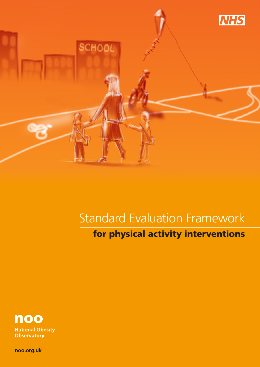

# Standard Evaluation Framework

for physical activity interventions



**National Obesity Observatory** 

**noo.org.uk**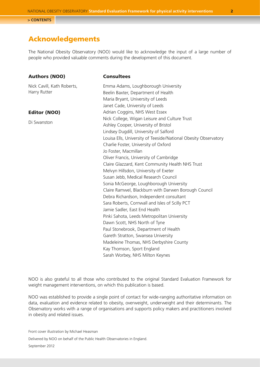## Acknowledgements

The National Obesity Observatory (NOO) would like to acknowledge the input of a large number of people who provided valuable comments during the development of this document.

### Authors (NOO)

Nick Cavill, Kath Roberts, Harry Rutter

### Editor (NOO)

Di Swanston

## **Consultees**

Emma Adams, Loughborough University Beelin Baxter, Department of Health Maria Bryant, University of Leeds Janet Cade, University of Leeds Adrian Coggins, NHS West Essex Nick College, Wigan Leisure and Culture Trust Ashley Cooper, University of Bristol Lindsey Dugdill, University of Salford Louisa Ells, University of Teeside/National Obesity Observatory Charlie Foster, University of Oxford Jo Foster, Macmillan Oliver Francis, University of Cambridge Claire Glazzard, Kent Community Health NHS Trust Melvyn Hillsdon, University of Exeter Susan Jebb, Medical Research Council Sonia McGeorge, Loughborough University Claire Ramwel, Blackburn with Darwen Borough Council Debra Richardson, Independent consultant Sara Roberts, Cornwall and Isles of Scilly PCT Jamie Sadler, East End Health Pinki Sahota, Leeds Metropolitan University Dawn Scott, NHS North of Tyne Paul Stonebrook, Department of Health Gareth Stratton, Swansea University Madeleine Thomas, NHS Derbyshire County Kay Thomson, Sport England Sarah Worbey, NHS Milton Keynes

NOO is also grateful to all those who contributed to the original Standard Evaluation Framework for weight management interventions, on which this publication is based.

NOO was established to provide a single point of contact for wide-ranging authoritative information on data, evaluation and evidence related to obesity, overweight, underweight and their determinants. The Observatory works with a range of organisations and supports policy makers and practitioners involved in obesity and related issues.

Front cover illustration by Michael Heasman

Delivered by NOO on behalf of the Public Health Observatories in England.

September 2012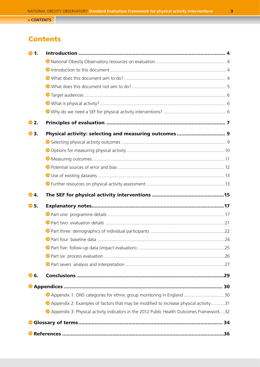## <span id="page-2-0"></span>**Contents**

| ▶1.  |                                                                                            |  |
|------|--------------------------------------------------------------------------------------------|--|
|      |                                                                                            |  |
|      |                                                                                            |  |
|      |                                                                                            |  |
|      |                                                                                            |  |
|      |                                                                                            |  |
|      |                                                                                            |  |
|      |                                                                                            |  |
| €2.  |                                                                                            |  |
| €3.  | Physical activity: selecting and measuring outcomes 9                                      |  |
|      |                                                                                            |  |
|      |                                                                                            |  |
|      |                                                                                            |  |
|      |                                                                                            |  |
|      |                                                                                            |  |
|      |                                                                                            |  |
| €4.  |                                                                                            |  |
| € 5. |                                                                                            |  |
|      |                                                                                            |  |
|      |                                                                                            |  |
|      |                                                                                            |  |
|      |                                                                                            |  |
|      |                                                                                            |  |
|      |                                                                                            |  |
|      |                                                                                            |  |
| € 6. |                                                                                            |  |
|      |                                                                                            |  |
|      | ▶ Appendix 1: ONS categories for ethnic group monitoring in England  30                    |  |
|      | • Appendix 2: Examples of factors that may be modified to increase physical activity31     |  |
|      | ▶ Appendix 3: Physical activity indicators in the 2012 Public Health Outcomes Framework 32 |  |
|      |                                                                                            |  |
|      |                                                                                            |  |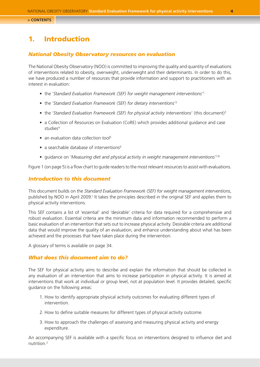## <span id="page-3-0"></span>1. Introduction

### *National Obesity Observatory resources on evaluation*

The National Obesity Observatory (NOO) is committed to improving the quality and quantity of evaluations of interventions related to obesity, overweight, underweight and their determinants. In order to do this, we have produced a number of resources that provide information and support to practitioners with an interest in evaluation:

- the 'Standard Evaluation Framework (SEF) for weight management interventions<sup>1</sup>
- the 'Standard Evaluation Framework (SEF) for dietary interventions<sup>'2</sup>
- the '*Standard Evaluation Framework (SEF) for physical activity interventions'* (this document)<sup>3</sup>
- a Collection of Resources on Evaluation (CoRE) which provides additional guidance and case studies<sup>4</sup>
- an evaluation data collection tool<sup>5</sup>
- a searchable database of interventions $6$
- guidance on 'Measuring diet and physical activity in weight management interventions<sup>17,8</sup>

Figure 1 (on page 5) is a flow chart to guide readers to the most relevant resources to assist with evaluations.

### *Introduction to this document*

This document builds on the *Standard Evaluation Framework (SEF) for weight management interventions*, published by NOO in April 2009.<sup>1</sup> It takes the principles described in the original SEF and applies them to physical activity interventions.

This SEF contains a list of 'essential' and 'desirable' criteria for data required for a comprehensive and robust evaluation. Essential criteria are the minimum data and information recommended to perform a basic evaluation of an intervention that sets out to increase physical activity. Desirable criteria are additional data that would improve the quality of an evaluation, and enhance understanding about what has been achieved and the processes that have taken place during the intervention.

A glossary of terms is available on page 34.

### *What does this document aim to do?*

The SEF for physical activity aims to describe and explain the information that should be collected in any evaluation of an intervention that aims to increase participation in physical activity. It is aimed at interventions that work at individual or group level, not at population level. It provides detailed, specific guidance on the following areas:

- 1. How to identify appropriate physical activity outcomes for evaluating different types of intervention.
- 2. How to define suitable measures for different types of physical activity outcome.
- 3. How to approach the challenges of assessing and measuring physical activity and energy expenditure.

An accompanying SEF is available with a specific focus on interventions designed to influence diet and nutrition.2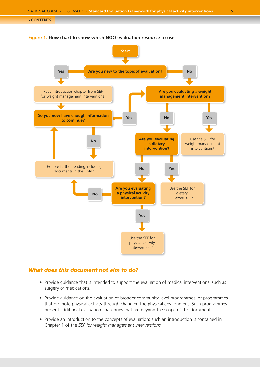

### <span id="page-4-0"></span>**Figure 1: Flow chart to show which NOO evaluation resource to use**

### *What does this document not aim to do?*

- Provide guidance that is intended to support the evaluation of medical interventions, such as surgery or medications.
- Provide guidance on the evaluation of broader community-level programmes, or programmes that promote physical activity through changing the physical environment. Such programmes present additional evaluation challenges that are beyond the scope of this document.
- Provide an introduction to the concepts of evaluation; such an introduction is contained in Chapter 1 of the *SEF for weight management interventions*. 1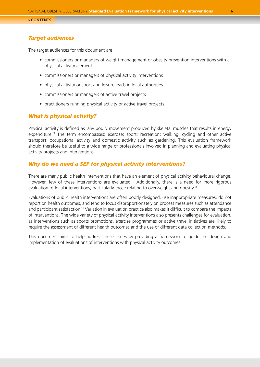### <span id="page-5-0"></span>*Target audiences*

The target audiences for this document are:

- commissioners or managers of weight management or obesity prevention interventions with a physical activity element
- commissioners or managers of physical activity interventions
- physical activity or sport and leisure leads in local authorities
- commissioners or managers of active travel projects
- practitioners running physical activity or active travel projects.

### *What is physical activity?*

Physical activity is defined as 'any bodily movement produced by skeletal muscles that results in energy expenditure'.<sup>9</sup> The term encompasses: exercise; sport; recreation; walking, cycling and other active transport; occupational activity and domestic activity such as gardening. This evaluation framework should therefore be useful to a wide range of professionals involved in planning and evaluating physical activity projects and interventions.

### *Why do we need a SEF for physical activity interventions?*

There are many public health interventions that have an element of physical activity behavioural change. However, few of these interventions are evaluated.<sup>10</sup> Additionally, there is a need for more rigorous evaluation of local interventions, particularly those relating to overweight and obesity.<sup>11</sup>

Evaluations of public health interventions are often poorly designed, use inappropriate measures, do not report on health outcomes, and tend to focus disproportionately on process measures such as attendance and participant satisfaction.<sup>11</sup> Variation in evaluation practice also makes it difficult to compare the impacts of interventions. The wide variety of physical activity interventions also presents challenges for evaluation, as interventions such as sports promotions, exercise programmes or active travel initiatives are likely to require the assessment of different health outcomes and the use of different data collection methods.

This document aims to help address these issues by providing a framework to guide the design and implementation of evaluations of interventions with physical activity outcomes.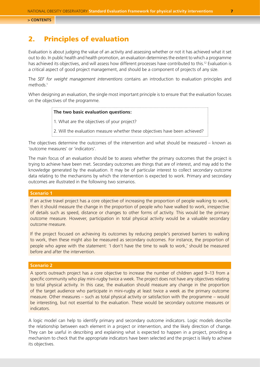## <span id="page-6-0"></span>2. Principles of evaluation

Evaluation is about judging the value of an activity and assessing whether or not it has achieved what it set out to do. In public health and health promotion, an evaluation determines the extent to which a programme has achieved its objectives, and will assess how different processes have contributed to this.<sup>12</sup> Evaluation is a critical aspect of good project management, and should be a component of projects of any size.

The *SEF for weight management interventions* contains an introduction to evaluation principles and methods.<sup>1</sup>

When designing an evaluation, the single most important principle is to ensure that the evaluation focuses on the objectives of the programme.

### **The two basic evaluation questions:**

1. What are the objectives of your project?

2. Will the evaluation measure whether these objectives have been achieved?

The objectives determine the outcomes of the intervention and what should be measured – known as 'outcome measures' or 'indicators'.

The main focus of an evaluation should be to assess whether the primary outcomes that the project is trying to achieve have been met. Secondary outcomes are things that are of interest, and may add to the knowledge generated by the evaluation. It may be of particular interest to collect secondary outcome data relating to the mechanisms by which the intervention is expected to work. Primary and secondary outcomes are illustrated in the following two scenarios.

### **Scenario 1**

If an active travel project has a core objective of increasing the proportion of people walking to work, then it should measure the change in the proportion of people who have walked to work, irrespective of details such as speed, distance or changes to other forms of activity. This would be the primary outcome measure. However, participation in total physical activity would be a valuable secondary outcome measure.

If the project focused on achieving its outcomes by reducing people's perceived barriers to walking to work, then these might also be measured as secondary outcomes. For instance, the proportion of people who agree with the statement: 'I don't have the time to walk to work,' should be measured before and after the intervention.

### **Scenario 2**

A sports outreach project has a core objective to increase the number of children aged 9–13 from a specific community who play mini-rugby twice a week. The project does not have any objectives relating to total physical activity. In this case, the evaluation should measure any change in the proportion of the target audience who participate in mini-rugby at least twice a week as the primary outcome measure. Other measures – such as total physical activity or satisfaction with the programme – would be interesting, but not essential to the evaluation. These would be secondary outcome measures or indicators.

A logic model can help to identify primary and secondary outcome indicators. Logic models describe the relationship between each element in a project or intervention, and the likely direction of change. They can be useful in describing and explaining what is expected to happen in a project, providing a mechanism to check that the appropriate indicators have been selected and the project is likely to achieve its objectives.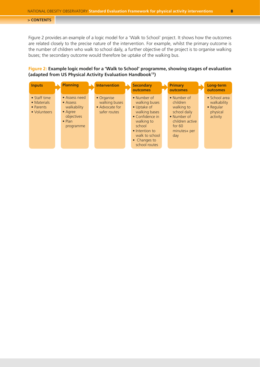Figure 2 provides an example of a logic model for a 'Walk to School' project. It shows how the outcomes are related closely to the precise nature of the intervention. For example, whilst the primary outcome is the number of children who walk to school daily, a further objective of the project is to organise walking buses; the secondary outcome would therefore be uptake of the walking bus.

### **Figure 2: Example logic model for a 'Walk to School' programme, showing stages of evaluation (adapted from US Physical Activity Evaluation Handbook13)**

| <b>Inputs</b>                                                    | <b>Planning</b>                                                                                          | <b>Intervention</b>                                           | <b>Secondary</b><br>outcomes                                                                                                                                                         | <b>Primary</b><br>outcomes                                                                                                  | Long-term<br>outcomes                                                             |
|------------------------------------------------------------------|----------------------------------------------------------------------------------------------------------|---------------------------------------------------------------|--------------------------------------------------------------------------------------------------------------------------------------------------------------------------------------|-----------------------------------------------------------------------------------------------------------------------------|-----------------------------------------------------------------------------------|
| $\bullet$ Staff time<br>• Materials<br>• Parents<br>• Volunteers | • Assess need<br>• Assess<br>walkability<br>$\bullet$ Agree<br>objectives<br>$\bullet$ Plan<br>programme | • Organise<br>walking buses<br>• Advocate for<br>safer routes | • Number of<br>walking buses<br>• Uptake of<br>walking bases<br>• Confidence in<br>walking to<br>school<br>• Intention to<br>walk to school<br>$\bullet$ Changes to<br>school routes | • Number of<br>children<br>walking to<br>school daily<br>• Number of<br>children active<br>for $601$<br>minutes+ per<br>day | $\bullet$ School area<br>walkability<br>$\bullet$ Regular<br>physical<br>activity |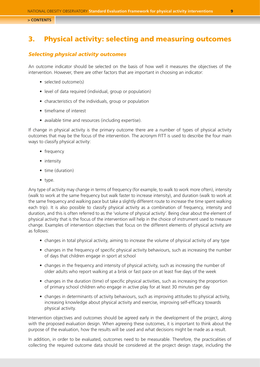## <span id="page-8-0"></span>3. Physical activity: selecting and measuring outcomes

### *Selecting physical activity outcomes*

An outcome indicator should be selected on the basis of how well it measures the objectives of the intervention. However, there are other factors that are important in choosing an indicator:

- selected outcome(s)
- level of data required (individual, group or population)
- characteristics of the individuals, group or population
- timeframe of interest
- available time and resources (including expertise).

If change in physical activity is the primary outcome there are a number of types of physical activity outcomes that may be the focus of the intervention. The acronym FITT is used to describe the four main ways to classify physical activity:

- frequency
- intensity
- time (duration)
- type.

Any type of activity may change in terms of frequency (for example, to walk to work more often), intensity (walk to work at the same frequency but walk faster to increase intensity), and duration (walk to work at the same frequency and walking pace but take a slightly different route to increase the time spent walking each trip). It is also possible to classify physical activity as a combination of frequency, intensity and duration, and this is often referred to as the 'volume of physical activity'. Being clear about the element of physical activity that is the focus of the intervention will help in the choice of instrument used to measure change. Examples of intervention objectives that focus on the different elements of physical activity are as follows:

- changes in total physical activity, aiming to increase the volume of physical activity of any type
- changes in the frequency of specific physical activity behaviours, such as increasing the number of days that children engage in sport at school
- changes in the frequency and intensity of physical activity, such as increasing the number of older adults who report walking at a brisk or fast pace on at least five days of the week
- changes in the duration (time) of specific physical activities, such as increasing the proportion of primary school children who engage in active play for at least 30 minutes per day
- changes in determinants of activity behaviours, such as improving attitudes to physical activity, increasing knowledge about physical activity and exercise, improving self-efficacy towards physical activity.

Intervention objectives and outcomes should be agreed early in the development of the project, along with the proposed evaluation design. When agreeing these outcomes, it is important to think about the purpose of the evaluation, how the results will be used and what decisions might be made as a result.

In addition, in order to be evaluated, outcomes need to be measurable. Therefore, the practicalities of collecting the required outcome data should be considered at the project design stage, including the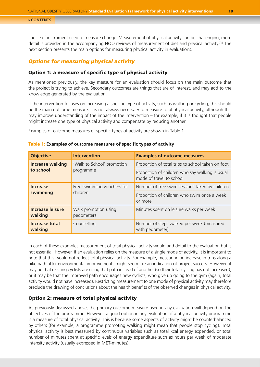<span id="page-9-0"></span>choice of instrument used to measure change. Measurement of physical activity can be challenging; more detail is provided in the accompanying NOO reviews of measurement of diet and physical activity.<sup>7,8</sup> The next section presents the main options for measuring physical activity in evaluations.

### *Options for measuring physical activity*

### Option 1: a measure of specific type of physical activity

As mentioned previously, the key measure for an evaluation should focus on the main outcome that the project is trying to achieve. Secondary outcomes are things that are of interest, and may add to the knowledge generated by the evaluation.

If the intervention focuses on increasing a specific type of activity, such as walking or cycling, this should be the main outcome measure. It is not always necessary to measure total physical activity, although this may improve understanding of the impact of the intervention – for example, if it is thought that people might increase one type of physical activity and compensate by reducing another.

Examples of outcome measures of specific types of activity are shown in Table 1.

| <b>Objective</b>                   | <b>Intervention</b>                | <b>Examples of outcome measures</b>                                         |  |  |
|------------------------------------|------------------------------------|-----------------------------------------------------------------------------|--|--|
| <b>Increase walking</b>            | 'Walk to School' promotion         | Proportion of total trips to school taken on foot                           |  |  |
| to school                          | programme                          | Proportion of children who say walking is usual<br>mode of travel to school |  |  |
| <b>Increase</b>                    | Free swimming vouchers for         | Number of free swim sessions taken by children                              |  |  |
| swimming                           | children                           | Proportion of children who swim once a week<br>or more                      |  |  |
| <b>Increase leisure</b><br>walking | Walk promotion using<br>pedometers | Minutes spent on leisure walks per week                                     |  |  |
| <b>Increase total</b><br>walking   | Counselling                        | Number of steps walked per week (measured<br>with pedometer)                |  |  |

### **Table 1: Examples of outcome measures of specific types of activity**

In each of these examples measurement of total physical activity would add detail to the evaluation but is not essential. However, if an evaluation relies on the measure of a single mode of activity, it is important to note that this would not reflect total physical activity. For example, measuring an increase in trips along a bike path after environmental improvements might seem like an indication of project success. However, it may be that existing cyclists are using that path instead of another (so their total cycling has not increased); or it may be that the improved path encourages new cyclists, who give up going to the gym (again, total activity would not have increased). Restricting measurement to one mode of physical activity may therefore preclude the drawing of conclusions about the health benefits of the observed changes in physical activity.

### Option 2: measure of total physical activity

As previously discussed above, the primary outcome measure used in any evaluation will depend on the objectives of the programme. However, a good option in any evaluation of a physical activity programme is a measure of total physical activity. This is because some aspects of activity might be counterbalanced by others (for example, a programme promoting walking might mean that people stop cycling). Total physical activity is best measured by continuous variables such as total kcal energy expended, or total number of minutes spent at specific levels of energy expenditure such as hours per week of moderate intensity activity (usually expressed in MET-minutes).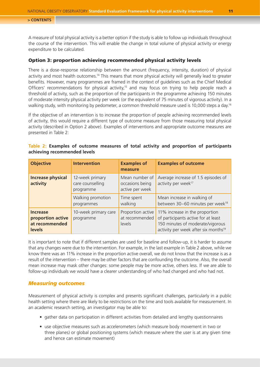<span id="page-10-0"></span>A measure of total physical activity is a better option if the study is able to follow up individuals throughout the course of the intervention. This will enable the change in total volume of physical activity or energy expenditure to be calculated.

### Option 3: proportion achieving recommended physical activity levels

There is a dose-response relationship between the amount (frequency, intensity, duration) of physical activity and most health outcomes.14 This means that more physical activity will generally lead to greater benefits. However, many programmes are framed in the context of guidelines such as the Chief Medical Officers' recommendations for physical activity,<sup>15</sup> and may focus on trying to help people reach a threshold of activity, such as the proportion of the participants in the programme achieving 150 minutes of moderate intensity physical activity per week (or the equivalent of 75 minutes of vigorous activity). In a walking study, with monitoring by pedometer, a common threshold measure used is 10,000 steps a day.<sup>16</sup>

If the objective of an intervention is to increase the proportion of people achieving recommended levels of activity, this would require a different type of outcome measure from those measuring total physical activity (described in Option 2 above). Examples of interventions and appropriate outcome measures are presented in Table 2:

| <b>Objective</b>                                                        | <b>Intervention</b>                              | <b>Examples of</b><br>measure                        | <b>Examples of outcome</b>                                                                                                                                    |
|-------------------------------------------------------------------------|--------------------------------------------------|------------------------------------------------------|---------------------------------------------------------------------------------------------------------------------------------------------------------------|
| <b>Increase physical</b><br>activity                                    | 12-week primary<br>care counselling<br>programme | Mean number of<br>occasions being<br>active per week | Average increase of 1.5 episodes of<br>activity per week <sup>17</sup>                                                                                        |
|                                                                         | Walking promotion<br>programmes                  | Time spent<br>walking                                | Mean increase in walking of<br>between 30-60 minutes per week <sup>18</sup>                                                                                   |
| <b>Increase</b><br>proportion active<br>at recommended<br><b>levels</b> | 10-week primary care<br>programme                | Proportion active<br>at recommended<br>levels        | 11% increase in the proportion<br>of participants active for at least<br>150 minutes of moderate/vigorous<br>activity per week after six months <sup>19</sup> |

### **Table 2: Examples of outcome measures of total activity and proportion of participants achieving recommended levels**

It is important to note that if different samples are used for baseline and follow-up, it is harder to assume that any changes were due to the intervention. For example, in the last example in Table 2 above, while we know there was an 11% increase in the proportion active overall, we do not know that the increase is as a result of the intervention – there may be other factors that are confounding the outcome. Also, the overall mean increase may mask other changes: some people may be more active, others less. If we are able to follow-up individuals we would have a clearer understanding of who had changed and who had not.

### *Measuring outcomes*

Measurement of physical activity is complex and presents significant challenges, particularly in a public health setting where there are likely to be restrictions on the time and tools available for measurement. In an academic research setting, an investigator may be able to:

- gather data on participation in different activities from detailed and lengthy questionnaires
- use objective measures such as accelerometers (which measure body movement in two or three planes) or global positioning systems (which measure where the user is at any given time and hence can estimate movement)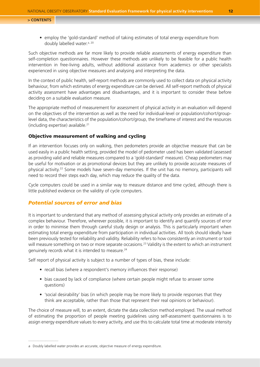<span id="page-11-0"></span>• employ the 'gold-standard' method of taking estimates of total energy expenditure from doubly labelled water.<sup>a, 20</sup>

Such objective methods are far more likely to provide reliable assessments of energy expenditure than self-completion questionnaires. However these methods are unlikely to be feasible for a public health intervention in free-living adults, without additional assistance from academics or other specialists experienced in using objective measures and analysing and interpreting the data.

In the context of public health, self-report methods are commonly used to collect data on physical activity behaviour, from which estimates of energy expenditure can be derived. All self-report methods of physical activity assessment have advantages and disadvantages, and it is important to consider these before deciding on a suitable evaluation measure.

The appropriate method of measurement for assessment of physical activity in an evaluation will depend on the objectives of the intervention as well as the need for individual-level or population/cohort/grouplevel data, the characteristics of the population/cohort/group, the timeframe of interest and the resources (including expertise) available.21

### Objective measurement of walking and cycling

If an intervention focuses only on walking, then pedometers provide an objective measure that can be used easily in a public health setting, provided the model of pedometer used has been validated (assessed as providing valid and reliable measures compared to a 'gold-standard' measure). Cheap pedometers may be useful for motivation or as promotional devices but they are unlikely to provide accurate measures of physical activity.22 Some models have seven-day memories. If the unit has no memory, participants will need to record their steps each day, which may reduce the quality of the data.

Cycle computers could be used in a similar way to measure distance and time cycled, although there is little published evidence on the validity of cycle computers.

### *Potential sources of error and bias*

It is important to understand that any method of assessing physical activity only provides an estimate of a complex behaviour. Therefore, wherever possible, it is important to identify and quantify sources of error in order to minimise them through careful study design or analysis. This is particularly important when estimating total energy expenditure from participation in individual activities. All tools should ideally have been previously tested for reliability and validity. Reliability refers to how consistently an instrument or tool will measure something on two or more separate occasions.<sup>23</sup> Validity is the extent to which an instrument genuinely records what it is intended to measure.<sup>24</sup>

Self report of physical activity is subject to a number of types of bias, these include:

- recall bias (where a respondent's memory influences their response)
- bias caused by lack of compliance (where certain people might refuse to answer some questions)
- 'social desirability' bias (in which people may be more likely to provide responses that they think are acceptable, rather than those that represent their real opinions or behaviour).

The choice of measure will, to an extent, dictate the data collection method employed. The usual method of estimating the proportion of people meeting guidelines using self-assessment questionnaires is to assign energy expenditure values to every activity, and use this to calculate total time at moderate intensity

a Doubly labelled water provides an accurate, objective measure of energy expenditure.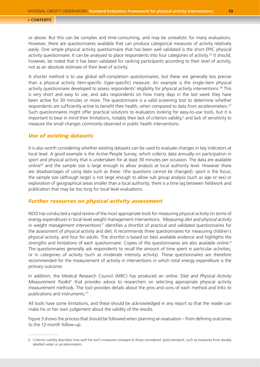<span id="page-12-0"></span>or above. But this can be complex and time-consuming, and may be unrealistic for many evaluations. However, there are questionnaires available that can produce categorical measures of activity relatively easily. One simple physical activity questionnaire that has been well validated is the short EPIC physical activity questionnaire. It can be analysed to place respondents into four categories of activity.<sup>25</sup> It should, however, be noted that it has been validated for ranking participants according to their level of activity, not as an absolute estimate of their level of activity.

A shorter method is to use global self-completion questionnaires, but these are generally less precise than a physical activity item-specific (type-specific) measure. An example is the single-item physical activity questionnaire developed to assess respondents' eligibility for physical activity interventions.<sup>26</sup> This is very short and easy to use, and asks respondents on how many days in the last week they have been active for 30 minutes or more. The questionnaire is a valid screening tool to determine whether respondents are sufficiently active to benefit their health, when compared to data from accelerometers.<sup>27</sup> Such questionnaires might offer practical solutions to evaluators looking for easy-to-use tools, but it is important to bear in mind their limitations, notably their lack of criterion validity,<sup>b</sup> and lack of sensitivity to measure the small changes commonly observed in public health interventions.

### *Use of existing datasets*

It is also worth considering whether existing datasets can be used to evaluate changes in key indicators at local level. A good example is the Active People Survey, which collects data annually on participation in sport and physical activity that is undertaken for at least 30 minutes per occasion. The data are available online<sup>28</sup> and the sample size is large enough to allow analysis at local authority level. However there are disadvantages of using data such as these: (the questions cannot be changed); sport is the focus; the sample size (although large) is not large enough to allow sub group analysis (such as age or sex) or exploration of geographical areas smaller than a local authority; there is a time lag between fieldwork and publication that may be too long for local level evaluations.

### *Further resources on physical activity assessment*

NOO has conducted a rapid review of the most appropriate tools for measuring physical activity (in terms of energy expenditure) in local-level weight management interventions. '*Measuring diet and physical activity in weight management interventions'*<sup>7</sup> identifies a shortlist of practical and validated questionnaires for the assessment of physical activity and diet. It recommends three questionnaires for measuring children's physical activity, and four for adults. The shortlist is based on best available evidence and highlights the strengths and limitations of each questionnaire. Copies of the questionnaires are also available online.<sup>8</sup> The questionnaires generally ask respondents to recall the amount of time spent in particular activities, or in categories of activity (such as moderate intensity activity). These questionnaires are therefore recommended for the measurement of activity in interventions in which total energy expenditure is the primary outcome.

In addition, the Medical Research Council (MRC) has produced an online '*Diet and Physical Activity Measurement Toolkit*' that provides advice to researchers on selecting appropriate physical activity measurement methods. The tool provides details about the pros and cons of each method and links to publications and instruments.21

All tools have some limitations, and these should be acknowledged in any report so that the reader can make his or her own judgement about the validity of the results.

Figure 3 shows the process that should be followed when planning an evaluation – from defining outcomes to the 12-month follow-up.

b Criterion validity describes how well the tool's measures compare to those considered 'gold standard', such as measures from doubly labelled water or accelerometers.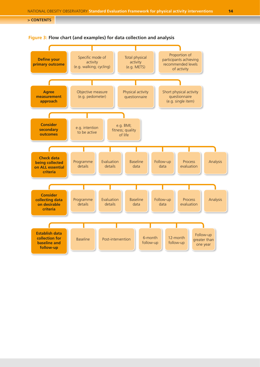

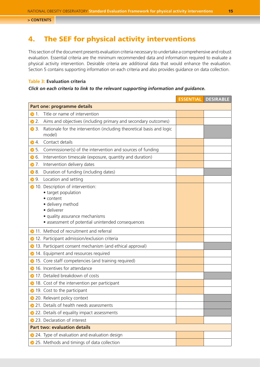## <span id="page-14-1"></span><span id="page-14-0"></span>4. The SEF for physical activity interventions

This section of the document presents evaluation criteria necessary to undertake a comprehensive and robust evaluation. Essential criteria are the minimum recommended data and information required to evaluate a physical activity intervention. Desirable criteria are additional data that would enhance the evaluation. Section 5 contains supporting information on each criteria and also provides guidance on data collection.

### **Table 3: Evaluation criteria**

### *Click on each criteria to link to the relevant supporting information and guidance.*

|                   |                                                                                                                                                                                                   |  | <b>ESSENTIAL DESIRABLE</b> |  |  |
|-------------------|---------------------------------------------------------------------------------------------------------------------------------------------------------------------------------------------------|--|----------------------------|--|--|
|                   | Part one: programme details                                                                                                                                                                       |  |                            |  |  |
| $\mathbf{1}$<br>€ | Title or name of intervention                                                                                                                                                                     |  |                            |  |  |
| 2.<br>❸           | Aims and objectives (including primary and secondary outcomes)                                                                                                                                    |  |                            |  |  |
| $\bullet$ 3.      | Rationale for the intervention (including theoretical basis and logic<br>model)                                                                                                                   |  |                            |  |  |
| $\bullet$ 4.      | Contact details                                                                                                                                                                                   |  |                            |  |  |
| $\bullet$ 5.      | Commissioner(s) of the intervention and sources of funding                                                                                                                                        |  |                            |  |  |
| • 6.              | Intervention timescale (exposure, quantity and duration)                                                                                                                                          |  |                            |  |  |
| $\bullet$ 7.      | Intervention delivery dates                                                                                                                                                                       |  |                            |  |  |
| 8.<br>€           | Duration of funding (including dates)                                                                                                                                                             |  |                            |  |  |
| 9.<br>€           | Location and setting                                                                                                                                                                              |  |                            |  |  |
|                   | • 10. Description of intervention:<br>• target population<br>• content<br>· delivery method<br>· deliverer<br>· quality assurance mechanisms<br>• assessment of potential unintended consequences |  |                            |  |  |
|                   | 11. Method of recruitment and referral                                                                                                                                                            |  |                            |  |  |
| ѳ                 | 12. Participant admission/exclusion criteria                                                                                                                                                      |  |                            |  |  |
| €                 | 13. Participant consent mechanism (and ethical approval)                                                                                                                                          |  |                            |  |  |
| €                 | 14. Equipment and resources required                                                                                                                                                              |  |                            |  |  |
|                   | 15. Core staff competencies (and training required)                                                                                                                                               |  |                            |  |  |
|                   | 16. Incentives for attendance                                                                                                                                                                     |  |                            |  |  |
|                   | 17. Detailed breakdown of costs                                                                                                                                                                   |  |                            |  |  |
|                   | • 18. Cost of the intervention per participant                                                                                                                                                    |  |                            |  |  |
|                   | <b>● 19.</b> Cost to the participant                                                                                                                                                              |  |                            |  |  |
|                   | <b>● 20. Relevant policy context</b>                                                                                                                                                              |  |                            |  |  |
|                   | 21. Details of health needs assessments                                                                                                                                                           |  |                            |  |  |
|                   | 22. Details of equality impact assessments                                                                                                                                                        |  |                            |  |  |
|                   | 23. Declaration of interest                                                                                                                                                                       |  |                            |  |  |
|                   | <b>Part two: evaluation details</b>                                                                                                                                                               |  |                            |  |  |
|                   | ▶ 24. Type of evaluation and evaluation design                                                                                                                                                    |  |                            |  |  |
|                   | ▶ 25. Methods and timings of data collection                                                                                                                                                      |  |                            |  |  |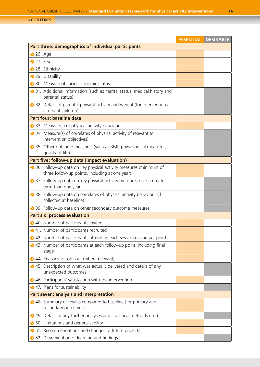|                                                                                                                      | <b>ESSENTIAL DESIRABLE</b> |
|----------------------------------------------------------------------------------------------------------------------|----------------------------|
| Part three: demographics of individual participants                                                                  |                            |
| 26. Age                                                                                                              |                            |
| 27. Sex                                                                                                              |                            |
| <b>▶ 28. Ethnicity</b>                                                                                               |                            |
| 29. Disability                                                                                                       |                            |
| <b>■</b> 30. Measure of socio-economic status                                                                        |                            |
| <b>■</b> 31. Additional information (such as marital status, medical history and<br>parental status)                 |                            |
| <b>■</b> 32. Details of parental physical activity and weight (for interventions<br>aimed at children)               |                            |
| Part four: baseline data                                                                                             |                            |
| <b>● 33. Measure(s) of physical activity behaviour</b>                                                               |                            |
| → 34. Measure(s) of correlates of physical activity (if relevant to<br>intervention objectives)                      |                            |
| → 35. Other outcome measures (such as BMI; physiological measures;<br>quality of life)                               |                            |
| Part five: follow-up data (impact evaluation)                                                                        |                            |
| → 36. Follow-up data on key physical activity measures (minimum of<br>three follow-up points, including at one year) |                            |
| → 37. Follow-up data on key physical activity measures over a greater<br>term than one year                          |                            |
| → 38. Follow-up data on correlates of physical activity behaviour (if<br>collected at baseline)                      |                            |
| → 39. Follow-up data on other secondary outcome measures                                                             |                            |
| <b>Part six: process evaluation</b>                                                                                  |                            |
| → 40. Number of participants invited                                                                                 |                            |
| <b>→ 41. Number of participants recruited</b>                                                                        |                            |
| 242. Number of participants attending each session or contact point                                                  |                            |
| → 43. Number of participants at each follow-up point, including final<br>stage                                       |                            |
| → 44. Reasons for opt-out (where relevant)                                                                           |                            |
| → 45. Description of what was actually delivered and details of any<br>unexpected outcomes                           |                            |
| ◆ 46. Participants' satisfaction with the intervention                                                               |                            |
| ◆ 47. Plans for sustainability                                                                                       |                            |
| Part seven: analysis and interpretation                                                                              |                            |
| 248. Summary of results compared to baseline (for primary and<br>secondary outcomes)                                 |                            |
| → 49. Details of any further analyses and statistical methods used                                                   |                            |
| <b>▶</b> 50. Limitations and generalisability                                                                        |                            |
| • 51. Recommendations and changes to future projects                                                                 |                            |
| S 52. Dissemination of learning and findings                                                                         |                            |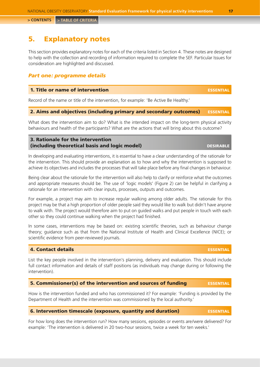## <span id="page-16-0"></span>5. Explanatory notes

This section provides explanatory notes for each of the criteria listed in Section 4. These notes are designed to help with the collection and recording of information required to complete the SEF. Particular Issues for consideration are highlighted and discussed.

### *Part one: programme details*

### 1. Title or name of intervention essential essential essential

Record of the name or title of the intervention, for example: 'Be Active Be Healthy.'

### 2. Aims and objectives (including primary and secondary outcomes) ESSENTIAL

What does the intervention aim to do? What is the intended impact on the long-term physical activity behaviours and health of the participants? What are the actions that will bring about this outcome?

### 3. Rationale for the intervention (including theoretical basis and logic model) designed and the set of the set of the set of the set of the set o

In developing and evaluating interventions, it is essential to have a clear understanding of the rationale for the intervention. This should provide an explanation as to how and why the intervention is supposed to achieve its objectives and includes the processes that will take place before any final changes in behaviour.

Being clear about the rationale for the intervention will also help to clarify or reinforce what the outcomes and appropriate measures should be. The use of 'logic models' (Figure 2) can be helpful in clarifying a rationale for an intervention with clear inputs, processes, outputs and outcomes.

For example, a project may aim to increase regular walking among older adults. The rationale for this project may be that a high proportion of older people said they would like to walk but didn't have anyone to walk with. The project would therefore aim to put on guided walks and put people in touch with each other so they could continue walking when the project had finished.

In some cases, interventions may be based on: existing scientific theories, such as behaviour change theory; guidance such as that from the National Institute of Health and Clinical Excellence (NICE); or scientific evidence from peer-reviewed journals.

### **4. Contact details and the contact details and the contact of the contact details** and the contact of the contact of the contact of the contact of the contact of the contact of the contact of the contact of the contact of

List the key people involved in the intervention's planning, delivery and evaluation. This should include full contact information and details of staff positions (as individuals may change during or following the intervention).

### 5. Commissioner(s) of the intervention and sources of funding ESSENTIAL

How is the intervention funded and who has commissioned it? For example: 'Funding is provided by the Department of Health and the intervention was commissioned by the local authority.'

### 6. Intervention timescale (exposure, quantity and duration) essential

For how long does the intervention run? How many sessions, episodes or events are/were delivered? For example: 'The intervention is delivered in 20 two-hour sessions, twice a week for ten weeks.'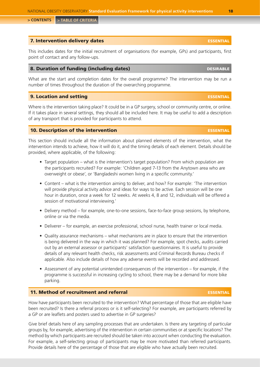<span id="page-17-0"></span>

### **7. Intervention delivery dates example and delivery dates and delivery delivery of the series of the series of the series of the series of the series of the series of the series of the series of the series of the series o**

This includes dates for the initial recruitment of organisations (for example, GPs) and participants, first point of contact and any follow-ups.

### 8. Duration of funding (including dates) and the set of the set of the set of the set of the set of the set of the set of the set of the set of the set of the set of the set of the set of the set of the set of the set of t

What are the start and completion dates for the overall programme? The intervention may be run a number of times throughout the duration of the overarching programme.

### **9. Location and setting essential properties and setting essential properties of the set of the set of the set**

Where is the intervention taking place? It could be in a GP surgery, school or community centre, or online. If it takes place in several settings, they should all be included here. It may be useful to add a description of any transport that is provided for participants to attend.

### 10. Description of the intervention essential essential essential essential essential essential essential esse

This section should include all the information about planned elements of the intervention, what the intervention intends to achieve, how it will do it, and the timing details of each element. Details should be provided, where applicable, of the following:

- Target population what is the intervention's target population? From which population are the participants recruited? For example: 'Children aged 7-13 from the Anytown area who are overweight or obese', or 'Bangladeshi women living in a specific community.'
- Content what is the intervention aiming to deliver, and how? For example: 'The intervention will provide physical activity advice and ideas for ways to be active. Each session will be one hour in duration, once a week for 12 weeks. At weeks 4, 8 and 12, individuals will be offered a session of motivational interviewing.'
- Delivery method for example, one-to-one sessions, face-to-face group sessions, by telephone, online or via the media.
- Deliverer for example, an exercise professional, school nurse, health trainer or local media.
- Quality assurance mechanisms what mechanisms are in place to ensure that the intervention is being delivered in the way in which it was planned? For example, spot checks, audits carried out by an external assessor or participants' satisfaction questionnaires. It is useful to provide details of any relevant health checks, risk assessments and Criminal Records Bureau checks if applicable. Also include details of how any adverse events will be recorded and addressed.
- Assessment of any potential unintended consequences of the intervention for example, if the programme is successful in increasing cycling to school, there may be a demand for more bike parking.

### 11. Method of recruitment and referral example and research and research of the set of the second series of the set of the second series of the set of the second series of the set of the second series of the second series

How have participants been recruited to the intervention? What percentage of those that are eligible have been recruited? Is there a referral process or is it self-selecting? For example, are participants referred by a GP or are leaflets and posters used to advertise in GP surgeries?

Give brief details here of any sampling processes that are undertaken. Is there any targeting of particular groups by, for example, advertising of the intervention in certain communities or at specific locations? The method by which participants are recruited should be taken into account when conducting the evaluation. For example, a self-selecting group of participants may be more motivated than referred participants. Provide details here of the percentage of those that are eligible who have actually been recruited.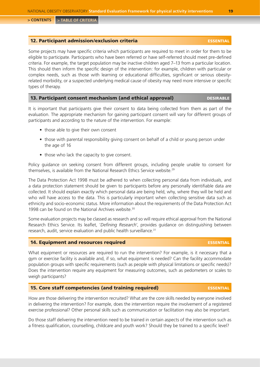### <span id="page-18-0"></span>12. Participant admission/exclusion criteria essential essential

Some projects may have specific criteria which participants are required to meet in order for them to be eligible to participate. Participants who have been referred or have self-referred should meet pre-defined criteria. For example, the target population may be inactive children aged 7–13 from a particular location. This should then inform the specific design of the intervention: for example, children with particular or complex needs, such as those with learning or educational difficulties, significant or serious obesityrelated morbidity, or a suspected underlying medical cause of obesity may need more intensive or specific types of therapy.

### 13. Participant consent mechanism (and ethical approval) DESIRABLE

It is important that participants give their consent to data being collected from them as part of the evaluation. The appropriate mechanism for gaining participant consent will vary for different groups of participants and according to the nature of the intervention. For example:

- those able to give their own consent
- those with parental responsibility giving consent on behalf of a child or young person under the age of 16
- those who lack the capacity to give consent.

Policy guidance on seeking consent from different groups, including people unable to consent for themselves, is available from the National Research Ethics Service website.<sup>29</sup>

The Data Protection Act 1998 must be adhered to when collecting personal data from individuals, and a data protection statement should be given to participants before any personally identifiable data are collected. It should explain exactly which personal data are being held, why, where they will be held and who will have access to the data. This is particularly important when collecting sensitive data such as ethnicity and socio-economic status. More information about the requirements of the Data Protection Act 1998 can be found on the National Archives website.<sup>30</sup>

Some evaluation projects may be classed as research and so will require ethical approval from the National Research Ethics Service. Its leaflet, '*Defining Research*', provides guidance on distinguishing between research, audit, service evaluation and public health surveillance.<sup>31</sup>

### 14. Equipment and resources required essential

What equipment or resources are required to run the intervention? For example, is it necessary that a gym or exercise facility is available and, if so, what equipment is needed? Can the facility accommodate population groups with specific requirements (such as people with physical limitations or specific needs)? Does the intervention require any equipment for measuring outcomes, such as pedometers or scales to weigh participants?

### 15. Core staff competencies (and training required) ESSENTIAL

How are those delivering the intervention recruited? What are the core skills needed by everyone involved in delivering the intervention? For example, does the intervention require the involvement of a registered exercise professional? Other personal skills such as communication or facilitation may also be important.

Do those staff delivering the intervention need to be trained in certain aspects of the intervention such as a fitness qualification, counselling, childcare and youth work? Should they be trained to a specific level?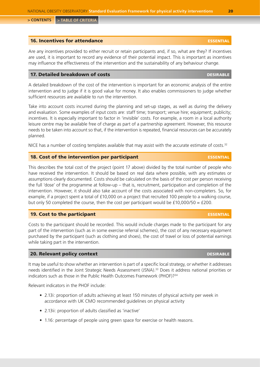### <span id="page-19-0"></span>**16. Incentives for attendance example and analysis of the experimental control of the essential experimental control of the essential control of the essential control of the essential control of the essential control of t**

Are any incentives provided to either recruit or retain participants and, if so, what are they? If incentives are used, it is important to record any evidence of their potential impact. This is important as incentives may influence the effectiveness of the intervention and the sustainability of any behaviour change.

### 17. Detailed breakdown of costs desired by the cost of the set of the costs of the costs of the costs of the costs

A detailed breakdown of the cost of the intervention is important for an economic analysis of the entire intervention and to judge if it is good value for money. It also enables commissioners to judge whether sufficient resources are available to run the intervention.

Take into account costs incurred during the planning and set-up stages, as well as during the delivery and evaluation. Some examples of input costs are: staff time; transport; venue hire; equipment; publicity; incentives. It is especially important to factor in 'invisible' costs. For example, a room in a local authority leisure centre may be available free of charge as part of a partnership agreement. However, this resource needs to be taken into account so that, if the intervention is repeated, financial resources can be accurately planned.

NICE has a number of costing templates available that may assist with the accurate estimate of costs. $32$ 

### 18. Cost of the intervention per participant essential essential essential essential essential essential essential estential essential essential essential essential estential estential estential estential estential estenti

This describes the total cost of the project (point 17 above) divided by the total number of people who have received the intervention. It should be based on real data where possible, with any estimates or assumptions clearly documented. Costs should be calculated on the basis of the cost per person receiving the full 'dose' of the programme at follow-up – that is, recruitment, participation and completion of the intervention. However, it should also take account of the costs associated with non-completers. So, for example, if a project spent a total of £10,000 on a project that recruited 100 people to a walking course, but only 50 completed the course, then the cost per participant would be  $f10,000/50 = f200$ .

### **19. Cost to the participant essential properties of the participant** essential properties of the participant

Costs to the participant should be recorded. This would include charges made to the participant for any part of the intervention (such as in some exercise referral schemes), the cost of any necessary equipment purchased by the participant (such as clothing and shoes), the cost of travel or loss of potential earnings while taking part in the intervention.

### 20. Relevant policy context desired and desired and desired by the set of the set of the set of the set of the

It may be useful to show whether an intervention is part of a specific local strategy, or whether it addresses needs identified in the Joint Strategic Needs Assessment (JSNA).33 Does it address national priorities or indicators such as those in the Public Health Outcomes Framework (PHOF)?<sup>34</sup>

Relevant indicators in the PHOF include:

- 2.13i: proportion of adults achieving at least 150 minutes of physical activity per week in accordance with UK CMO recommended guidelines on physical activity
- 2.13ii: proportion of adults classified as 'inactive'
- 1.16: percentage of people using green space for exercise or health reasons.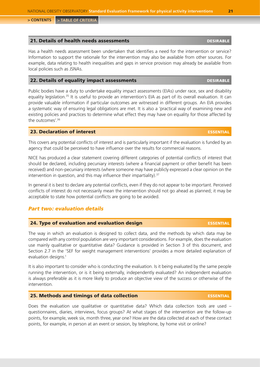### <span id="page-20-0"></span>21. Details of health needs assessments and the settlements of the settlement of the settlement of the settlement of the settlement of the settlement of the settlement of the settlement of the settlement of the settlement

Has a health needs assessment been undertaken that identifies a need for the intervention or service? Information to support the rationale for the intervention may also be available from other sources. For example, data relating to health inequalities and gaps in service provision may already be available from local policies such as JSNAs.

### 22. Details of equality impact assessments and the settlements of the settlement of the settlement of the settlement of the settlement of the settlement of the settlement of the settlement of the settlement of the settleme

Public bodies have a duty to undertake equality impact assessments (EIAs) under race, sex and disability equality legislation.<sup>35</sup> It is useful to provide an intervention's EIA as part of its overall evaluation. It can provide valuable information if particular outcomes are witnessed in different groups. An EIA provides a systematic way of ensuring legal obligations are met. It is also a 'practical way of examining new and existing policies and practices to determine what effect they may have on equality for those affected by the outcomes'.36

### 23. Declaration of interest essential control of the set of the set of the set of the set of the set of the set of the set of the set of the set of the set of the set of the set of the set of the set of the set of the set

This covers any potential conflicts of interest and is particularly important if the evaluation is funded by an agency that could be perceived to have influence over the results for commercial reasons.

NICE has produced a clear statement covering different categories of potential conflicts of interest that should be declared, including pecuniary interests (where a financial payment or other benefit has been received) and non-pecuniary interests (where someone may have publicly expressed a clear opinion on the intervention in question, and this may influence their impartiality).<sup>37</sup>

In general it is best to declare any potential conflicts, even if they do not appear to be important. Perceived conflicts of interest do not necessarily mean the intervention should not go ahead as planned; it may be acceptable to state how potential conflicts are going to be avoided.

### *Part two: evaluation details*

### 24. Type of evaluation and evaluation design example that the essential

The way in which an evaluation is designed to collect data, and the methods by which data may be compared with any control population are very important considerations. For example, does the evaluation use mainly qualitative or quantitative data? Guidance is provided in Section 3 of this document, and Section 2.7 in the 'SEF for weight management interventions' provides a more detailed explanation of evaluation designs.<sup>1</sup>

It is also important to consider who is conducting the evaluation. Is it being evaluated by the same people running the intervention, or is it being externally, independently evaluated? An independent evaluation is always preferable as it is more likely to produce an objective view of the success or otherwise of the intervention.

### 25. Methods and timings of data collection essential essential essential essential essential essential essential essential essential essential essential essential essential essential essential essential essential essential

Does the evaluation use qualitative or quantitative data? Which data collection tools are used – questionnaires, diaries, interviews, focus groups? At what stages of the intervention are the follow-up points, for example, week six, month three, year one? How are the data collected at each of these contact points, for example, in person at an event or session, by telephone, by home visit or online?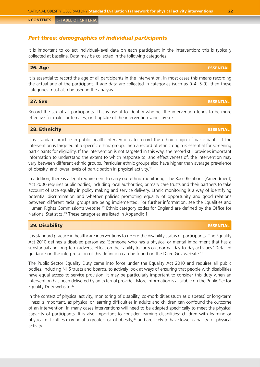### <span id="page-21-0"></span>*Part three: demographics of individual participants*

It is important to collect individual-level data on each participant in the intervention; this is typically collected at baseline. Data may be collected in the following categories:

### 26. Age essential control of the control of the control of the control of the control of the control of the control of the control of the control of the control of the control of the control of the control of the control o

It is essential to record the age of all participants in the intervention. In most cases this means recording the actual age of the participant. If age data are collected in categories (such as 0-4, 5-9), then these categories must also be used in the analysis.

### 27. Sex essential experimental experimental experimental experimental experimental experimental experimental e

Record the sex of all participants. This is useful to identify whether the intervention tends to be more effective for males or females, or if uptake of the intervention varies by sex.

### 28. Ethnicity essential

It is standard practice in public health interventions to record the ethnic origin of participants. If the intervention is targeted at a specific ethnic group, then a record of ethnic origin is essential for screening participants for eligibility. If the intervention is not targeted in this way, the record still provides important information to understand the extent to which response to, and effectiveness of, the intervention may vary between different ethnic groups. Particular ethnic groups also have higher than average prevalence of obesity, and lower levels of participation in physical activity.<sup>38</sup>

In addition, there is a legal requirement to carry out ethnic monitoring. The Race Relations (Amendment) Act 2000 requires public bodies, including local authorities, primary care trusts and their partners to take account of race equality in policy making and service delivery. Ethnic monitoring is a way of identifying potential discrimination and whether policies promoting equality of opportunity and good relations between different racial groups are being implemented. For further information, see the Equalities and Human Rights Commission's website.<sup>39</sup> Ethnic category codes for England are defined by the Office for National Statistics.40 These categories are listed in Appendix 1.

### 29. Disability **29. Disability and the contract of the contract of the contract of the contract of the contract of the contract of the contract of the contract of the contract of the contract of the contract of the contrac**

It is standard practice in healthcare interventions to record the disability status of participants. The Equality Act 2010 defines a disabled person as: 'Someone who has a physical or mental impairment that has a substantial and long-term adverse effect on their ability to carry out normal day-to-day activities.' Detailed guidance on the interpretation of this definition can be found on the DirectGov website.<sup>41</sup>

The Public Sector Equality Duty came into force under the Equality Act 2010 and requires all public bodies, including NHS trusts and boards, to actively look at ways of ensuring that people with disabilities have equal access to service provision. It may be particularly important to consider this duty when an intervention has been delivered by an external provider. More information is available on the Public Sector Equality Duty website.<sup>42</sup>

In the context of physical activity, monitoring of disability, co-morbidities (such as diabetes) or long-term illness is important, as physical or learning difficulties in adults and children can confound the outcome of an intervention. In many cases interventions will need to be adapted specifically to meet the physical capacity of participants. It is also important to consider learning disabilities: children with learning or physical difficulties may be at a greater risk of obesity,<sup>43</sup> and are likely to have lower capacity for physical activity.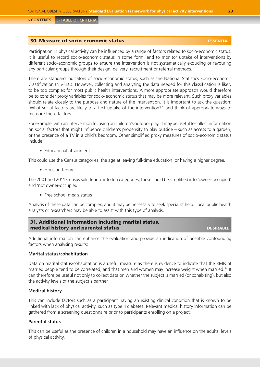### <span id="page-22-0"></span>30. Measure of socio-economic status essential essential essential

Participation in physical activity can be influenced by a range of factors related to socio-economic status. It is useful to record socio-economic status in some form, and to monitor uptake of interventions by different socio-economic groups to ensure the intervention is not systematically excluding or favouring any particular groups through their design, delivery, recruitment or referral methods.

There are standard indicators of socio-economic status, such as the National Statistics Socio-economic Classification (NS-SEC). However, collecting and analysing the data needed for this classification is likely to be too complex for most public health interventions. A more appropriate approach would therefore be to consider proxy variables for socio-economic status that may be more relevant. Such proxy variables should relate closely to the purpose and nature of the intervention. It is important to ask the question: 'What social factors are likely to affect uptake of the intervention?', and think of appropriate ways to measure these factors.

For example, with an intervention focusing on children's outdoor play, it may be useful to collect information on social factors that might influence children's propensity to play outside – such as access to a garden, or the presence of a TV in a child's bedroom. Other simplified proxy measures of socio-economic status include:

• Educational attainment

This could use the Census categories; the age at leaving full-time education; or having a higher degree.

• Housing tenure

The 2001 and 2011 Census split tenure into ten categories; these could be simplified into 'owner-occupied' and 'not owner-occupied'.

• Free school meals status

Analysis of these data can be complex, and it may be necessary to seek specialist help. Local public health analysts or researchers may be able to assist with this type of analysis.

| 31. Additional information including marital status, |                  |
|------------------------------------------------------|------------------|
| medical history and parental status                  | <b>DESIRABLE</b> |

Additional information can enhance the evaluation and provide an indication of possible confounding factors when analysing results:

### **Marital status/cohabitation**

Data on marital status/cohabitation is a useful measure as there is evidence to indicate that the BMIs of married people tend to be correlated, and that men and women may increase weight when married.<sup>44</sup> It can therefore be useful not only to collect data on whether the subject is married (or cohabiting), but also the activity levels of the subject's partner.

### **Medical history**

This can include factors such as a participant having an existing clinical condition that is known to be linked with lack of physical activity, such as type II diabetes. Relevant medical history information can be gathered from a screening questionnaire prior to participants enrolling on a project.

### **Parental status**

This can be useful as the presence of children in a household may have an influence on the adults' levels of physical activity.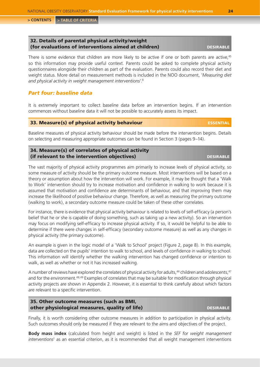### <span id="page-23-0"></span>32. Details of parental physical activity/weight (for evaluations of interventions aimed at children) DESIRABLE

There is some evidence that children are more likely to be active if one or both parents are active,<sup>45</sup> so this information may provide useful context. Parents could be asked to complete physical activity questionnaires alongside their children as part of the evaluation. Parents could also record their diet and weight status. More detail on measurement methods is included in the NOO document, '*Measuring diet and physical activity in weight management interventions*'.8

### *Part four: baseline data*

It is extremely important to collect baseline data before an intervention begins. If an intervention commences without baseline data it will not be possible to accurately assess its impact.

### 33. Measure(s) of physical activity behaviour example and the essential

Baseline measures of physical activity behaviour should be made before the intervention begins. Details on selecting and measuring appropriate outcomes can be found in Section 3 (pages 9–14).

### 34. Measure(s) of correlates of physical activity (if relevant to the intervention objectives) and the intervention objectives (if  $\blacksquare$

The vast majority of physical activity programmes aim primarily to increase levels of physical activity, so some measure of activity should be the primary outcome measure. Most interventions will be based on a theory or assumption about how the intervention will work. For example, it may be thought that a 'Walk to Work' intervention should try to increase motivation and confidence in walking to work because it is assumed that motivation and confidence are determinants of behaviour, and that improving them may increase the likelihood of positive behaviour change. Therefore, as well as measuring the primary outcome (walking to work), a secondary outcome measure could be taken of these other correlates.

For instance, there is evidence that physical activity behaviour is related to levels of self-efficacy (a person's belief that he or she is capable of doing something, such as taking up a new activity). So an intervention may focus on modifying self-efficacy to increase physical activity. If so, it would be helpful to be able to determine if there were changes in self-efficacy (secondary outcome measure) as well as any changes in physical activity (the primary outcome).

An example is given in the logic model of a 'Walk to School' project (Figure 2, page 8). In this example, data are collected on the pupils' intention to walk to school, and levels of confidence in walking to school. This information will identify whether the walking intervention has changed confidence or intention to walk, as well as whether or not it has increased walking.

A number of reviews have explored the correlates of physical activity for adults,<sup>46</sup> children and adolescents,<sup>47</sup> and for the environment.<sup>48,49</sup> Examples of correlates that may be suitable for modification through physical activity projects are shown in Appendix 2. However, it is essential to think carefully about which factors are relevant to a specific intervention.

### 35. Other outcome measures (such as BMI, other physiological measures, quality of life) **designed to the example of the example of the example of the example of the example of the example of the example of the example of the example of the example of the example**

Finally, it is worth considering other outcome measures in addition to participation in physical activity. Such outcomes should only be measured if they are relevant to the aims and objectives of the project.

**Body mass index** (calculated from height and weight) is listed in the *SEF for weight management interventions*<sup>1</sup> as an essential criterion, as it is recommended that all weight management interventions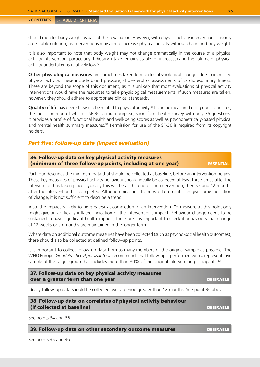<span id="page-24-0"></span>should monitor body weight as part of their evaluation. However, with physical activity interventions it is only a desirable criterion, as interventions may aim to increase physical activity without changing body weight.

It is also important to note that body weight may not change dramatically in the course of a physical activity intervention, particularly if dietary intake remains stable (or increases) and the volume of physical activity undertaken is relatively low.50

**Other physiological measures** are sometimes taken to monitor physiological changes due to increased physical activity. These include blood pressure; cholesterol or assessments of cardiorespiratory fitness. These are beyond the scope of this document, as it is unlikely that most evaluations of physical activity interventions would have the resources to take physiological measurements. If such measures are taken, however, they should adhere to appropriate clinical standards.

**Quality of life** has been shown to be related to physical activity.<sup>51</sup> It can be measured using questionnaires, the most common of which is SF-36, a multi-purpose, short-form health survey with only 36 questions. It provides a profile of functional health and well-being scores as well as psychometrically-based physical and mental health summary measures.<sup>52</sup> Permission for use of the SF-36 is required from its copyright holders.

### *Part five: follow-up data (impact evaluation)*

| 36. Follow-up data on key physical activity measures       |           |
|------------------------------------------------------------|-----------|
| (minimum of three follow-up points, including at one year) | ESSENTIAL |

Part four describes the minimum data that should be collected at baseline, before an intervention begins. These key measures of physical activity behaviour should ideally be collected at least three times after the intervention has taken place. Typically this will be at the end of the intervention, then six and 12 months after the intervention has completed. Although measures from two data points can give some indication of change, it is not sufficient to describe a trend.

Also, the impact is likely to be greatest at completion of an intervention. To measure at this point only might give an artificially inflated indication of the intervention's impact. Behaviour change needs to be sustained to have significant health impacts, therefore it is important to check if behaviours that change at 12 weeks or six months are maintained in the longer term.

Where data on additional outcome measures have been collected (such as psycho-social health outcomes), these should also be collected at defined follow-up points.

It is important to collect follow-up data from as many members of the original sample as possible. The WHO Europe '*Good Practice Appraisal Tool*' recommends that follow-up is performed with a representative sample of the target group that includes more than 80% of the original intervention participants.<sup>53</sup>

37. Follow-up data on key physical activity measures over a greater term than one year desirable desirable desirable desirable desirable

Ideally follow-up data should be collected over a period greater than 12 months. See point 36 above.

38. Follow-up data on correlates of physical activity behaviour (if collected at baseline) desirable desirable desirable desirable desirables desirables desirables desirables

See points 34 and 36.

39. Follow-up data on other secondary outcome measures **designed to the SCS** DESIRABLE

See points 35 and 36.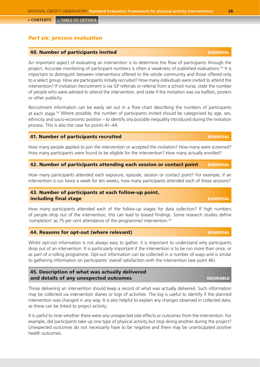### <span id="page-25-0"></span>*Part six: process evaluation*

### **40. Number of participants invited essential example of participants invited essential**

An important aspect of evaluating an intervention is to determine the flow of participants through the project. Accurate monitoring of participant numbers is often a weakness of published evaluations.54 It is important to distinguish between interventions offered to the whole community and those offered only to a select group. How are participants initially recruited? How many individuals were invited to attend the intervention? If invitation /recruitment is via GP referrals or referral from a school nurse, state the number of people who were advised to attend the intervention, and state if the invitation was via leaflets, posters or other publicity.

Recruitment information can be easily set out in a flow chart describing the numbers of participants at each stage.<sup>54</sup> Where possible, the number of participants invited should be categorised by age, sex, ethnicity and socio-economic position – to identify any possible inequality introduced during the invitation process. This is also the case for points 41–44.

### 41. Number of participants recruited essential

How many people applied to join the intervention or accepted the invitation? How many were screened? How many participants were found to be eligible for the intervention? How many actually enrolled?

### 42. Number of participants attending each session or contact point ESSENTIAL

How many participants attended each exposure, episode, session or contact point? For example, if an intervention is run twice a week for ten weeks, how many participants attended each of these sessions?

### 43. Number of participants at each follow-up point, including final stage essential control of the essential control of the essential control of the essential control of the essential control of the essential control of the essential control of the essential control of the

How many participants attended each of the follow-up stages for data collection? If high numbers of people drop out of the intervention, this can lead to biased findings. Some research studies define 'completion' as 75 per cent attendance of the programme/ intervention.<sup>55</sup>

### 44. Reasons for opt-out (where relevant) essential

Whilst opt-out information is not always easy to gather, it is important to understand why participants drop out of an intervention. It is particularly important if the intervention is to be run more than once, or as part of a rolling programme. Opt-out information can be collected in a number of ways and is similar to gathering information on participants' overall satisfaction with the intervention (see point 46).

### 45. Description of what was actually delivered and details of any unexpected outcomes and desirable desirable desirable desirable

Those delivering an intervention should keep a record of what was actually delivered. Such information may be collected via intervention diaries or logs of activities. The log is useful to identify if the planned intervention was changed in any way. It is also helpful to explain any changes observed in collected data, as these can be linked to project activity.

It is useful to note whether there were any unexpected side effects or outcomes from the intervention. For example, did participants take up one type of physical activity but stop doing another during the project? Unexpected outcomes do not necessarily have to be negative and there may be unanticipated positive health outcomes.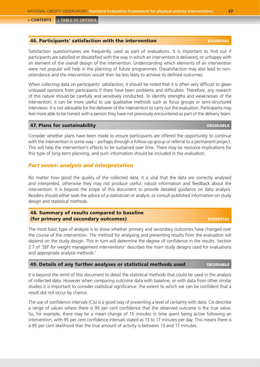### <span id="page-26-0"></span>46. Participants' satisfaction with the intervention essential essential

Satisfaction questionnaires are frequently used as part of evaluations. It is important to find out if participants are satisfied or dissatisfied with the way in which an intervention is delivered, or unhappy with an element of the overall design of the intervention. Understanding which elements of an intervention were not popular will help in the planning of future programmes. Dissatisfaction may also lead to nonattendance and the intervention would then be less likely to achieve its defined outcomes.

When collecting data on participants' satisfaction, it should be noted that it is often very difficult to glean unbiased opinions from participants if there have been problems and difficulties. Therefore, any research of this nature should be carefully and sensitively conducted. To identify strengths and weaknesses of the intervention, it can be more useful to use qualitative methods such as focus groups or semi-structured interviews. It is not advisable for the deliverer of the intervention to carry out the evaluation. Participants may feel more able to be honest with a person they have not previously encountered as part of the delivery team.

### 47. Plans for sustainability desired a series of the series of the series of the series of the series of the series of the series of the series of the series of the series of the series of the series of the series of the s

Consider whether plans have been made to ensure participants are offered the opportunity to continue with the intervention in some way – perhaps through a follow-up group or referral to a permanent project. This will help the intervention's effects to be sustained over time. There may be resource implications for this type of long-term planning, and such information should be included in the evaluation.

### *Part seven: analysis and interpretation*

No matter how good the quality of the collected data, it is vital that the data are correctly analysed and interpreted, otherwise they may not produce useful, robust information and feedback about the intervention. It is beyond the scope of this document to provide detailed guidance on data analysis. Readers should either seek the advice of a statistician or analyst, or consult published information on study design and statistical methods.

### 48. Summary of results compared to baseline (for primary and secondary outcomes) essential

The most basic type of analysis is to show whether primary and secondary outcomes have changed over the course of the intervention. The method for analysing and presenting results from the evaluation will depend on the study design. This in turn will determine the degree of confidence in the results. Section 2.7 of '*SEF for weight management interventions*' describes the main study designs used for evaluations and appropriate analysis methods.<sup>1</sup>

### 49. Details of any further analyses or statistical methods used DESIRABLE

It is beyond the remit of this document to detail the statistical methods that could be used in the analysis of collected data. However when comparing outcome data with baseline, or with data from other similar studies it is important to consider statistical significance: the extent to which we can be confident that a result did not occur by chance.

The use of confidence intervals (CIs) is a good way of presenting a level of certainty with data. CIs describe a range of values where there is 95 per cent confidence that the observed outcome is the true value. So, for example, there may be a mean change of 15 minutes in time spent being active following an intervention, with 95 per cent confidence intervals stated as 13 to 17 minutes per day. This means there is a 95 per cent likelihood that the true amount of activity is between 13 and 17 minutes.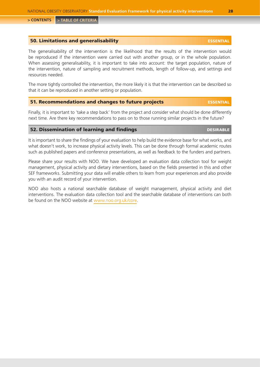### <span id="page-27-0"></span>**50. Limitations and generalisability and the contract of the contract of the contract of the contract of the contract of the contract of the contract of the contract of the contract of the contract of the contract of the**

The generalisability of the intervention is the likelihood that the results of the intervention would be reproduced if the intervention were carried out with another group, or in the whole population. When assessing generalisability, it is important to take into account: the target population, nature of the intervention, nature of sampling and recruitment methods, length of follow-up, and settings and resources needed.

The more tightly controlled the intervention, the more likely it is that the intervention can be described so that it can be reproduced in another setting or population.

### 51. Recommendations and changes to future projects essential

Finally, it is important to 'take a step back' from the project and consider what should be done differently next time. Are there key recommendations to pass on to those running similar projects in the future?

### 52. Dissemination of learning and findings desired and the desired besirable

It is important to share the findings of your evaluation to help build the evidence base for what works, and what doesn't work, to increase physical activity levels. This can be done through formal academic routes such as published papers and conference presentations, as well as feedback to the funders and partners.

Please share your results with NOO. We have developed an evaluation data collection tool for weight management, physical activity and dietary interventions, based on the fields presented in this and other SEF frameworks. Submitting your data will enable others to learn from your experiences and also provide you with an audit record of your intervention.

NOO also hosts a national searchable database of weight management, physical activity and diet interventions. The evaluation data collection tool and the searchable database of interventions can both be found on the NOO website at <www.noo.org.uk/core>.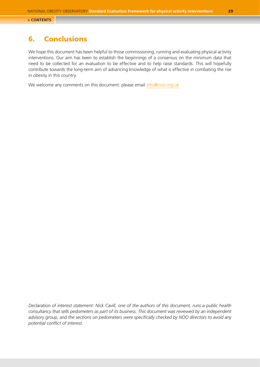## <span id="page-28-0"></span>6. Conclusions

We hope this document has been helpful to those commissioning, running and evaluating physical activity interventions. Our aim has been to establish the beginnings of a consensus on the minimum data that need to be collected for an evaluation to be effective and to help raise standards. This will hopefully contribute towards the long-term aim of advancing knowledge of what is effective in combating the rise in obesity in this country.

We welcome any comments on this document: please email [info@noo.org.uk](mailto:info@noo.org.uk)

*Declaration of interest statement: Nick Cavill, one of the authors of this document, runs a public health consultancy that sells pedometers as part of its business. This document was reviewed by an independent advisory group, and the sections on pedometers were specifically checked by NOO directors to avoid any potential conflict of interest.*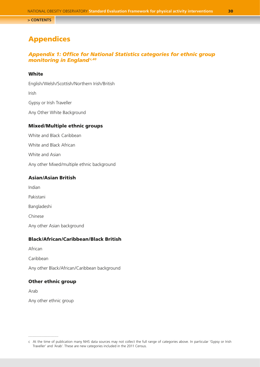## <span id="page-29-0"></span>Appendices

### *Appendix 1: Office for National Statistics categories for ethnic group monitoring in England<sup>c,40</sup>*

### **White**

English/Welsh/Scottish/Northern Irish/British Irish Gypsy or Irish Traveller Any Other White Background

### Mixed/Multiple ethnic groups

White and Black Caribbean White and Black African White and Asian Any other Mixed/multiple ethnic background

### Asian/Asian British

Indian

Pakistani

Bangladeshi

Chinese

Any other Asian background

### Black/African/Caribbean/Black British

African

Caribbean

Any other Black/African/Caribbean background

### Other ethnic group

Arab

Any other ethnic group

c At the time of publication many NHS data sources may not collect the full range of categories above. In particular 'Gypsy or Irish Traveller' and 'Arab'. These are new categories included in the 2011 Census.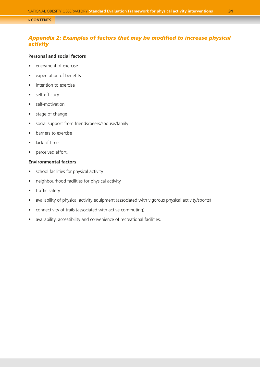### <span id="page-30-0"></span>*Appendix 2: Examples of factors that may be modified to increase physical activity*

### **Personal and social factors**

- enjoyment of exercise
- • expectation of benefits
- intention to exercise
- self-efficacy
- self-motivation
- stage of change
- • social support from friends/peers/spouse/family
- • barriers to exercise
- lack of time
- perceived effort.

### **Environmental factors**

- • school facilities for physical activity
- neighbourhood facilities for physical activity
- traffic safety
- availability of physical activity equipment (associated with vigorous physical activity/sports)
- connectivity of trails (associated with active commuting)
- availability, accessibility and convenience of recreational facilities.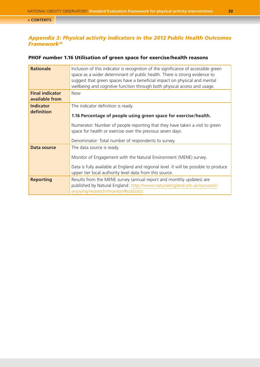### <span id="page-31-0"></span>*Appendix 3: Physical activity indicators in the 2012 Public Health Outcomes Framework34*

### PHOF number 1.16 Utilisation of green space for exercise/health reasons

| <b>Rationale</b>                         | Inclusion of this indicator is recognition of the significance of accessible green<br>space as a wider determinant of public health. There is strong evidence to<br>suggest that green spaces have a beneficial impact on physical and mental<br>wellbeing and cognitive function through both physical access and usage. |
|------------------------------------------|---------------------------------------------------------------------------------------------------------------------------------------------------------------------------------------------------------------------------------------------------------------------------------------------------------------------------|
| <b>Final indicator</b><br>available from | <b>Now</b>                                                                                                                                                                                                                                                                                                                |
| <b>Indicator</b>                         | The indicator definition is ready.                                                                                                                                                                                                                                                                                        |
| definition                               | 1.16 Percentage of people using green space for exercise/health.                                                                                                                                                                                                                                                          |
|                                          | Numerator: Number of people reporting that they have taken a visit to green<br>space for health or exercise over the previous seven days.                                                                                                                                                                                 |
|                                          | Denominator: Total number of respondents to survey.                                                                                                                                                                                                                                                                       |
| Data source                              | The data source is ready.                                                                                                                                                                                                                                                                                                 |
|                                          | Monitor of Engagement with the Natural Environment (MENE) survey.                                                                                                                                                                                                                                                         |
|                                          | Data is fully available at England and regional level. It will be possible to produce<br>upper tier local authority level data from this source.                                                                                                                                                                          |
| <b>Reporting</b>                         | Results from the MENE survey (annual report and monthly updates) are<br>published by Natural England: http://www.naturalengland.ork.uk/ourwork/<br>enjoying/research/monitor/#statistics                                                                                                                                  |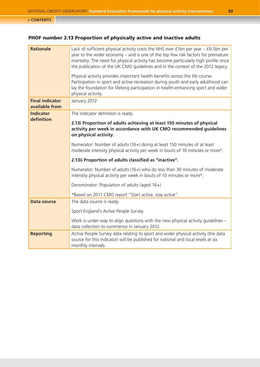## PHOF number 2.13 Proportion of physically active and inactive adults

| <b>Rationale</b>                         | Lack of sufficient physical activity costs the NHS over £1bn per year - £6.5bn per<br>year to the wider economy - and is one of the top few risk factors for premature<br>mortality. The need for physical activity has become particularly high profile since<br>the publication of the UK CMO guidelines and in the context of the 2012 legacy.<br>Physical activity provides important health benefits across the life course.<br>Participation in sport and active recreation during youth and early adulthood can<br>lay the foundation for lifelong participation in health-enhancing sport and wider<br>physical activity. |
|------------------------------------------|-----------------------------------------------------------------------------------------------------------------------------------------------------------------------------------------------------------------------------------------------------------------------------------------------------------------------------------------------------------------------------------------------------------------------------------------------------------------------------------------------------------------------------------------------------------------------------------------------------------------------------------|
| <b>Final indicator</b><br>available from | January 2012                                                                                                                                                                                                                                                                                                                                                                                                                                                                                                                                                                                                                      |
| <b>Indicator</b>                         | The indicator definition is ready.                                                                                                                                                                                                                                                                                                                                                                                                                                                                                                                                                                                                |
| definition                               | 2.13i Proportion of adults achieving at least 150 minutes of physical<br>activity per week in accordance with UK CMO recommended guidelines<br>on physical activity.                                                                                                                                                                                                                                                                                                                                                                                                                                                              |
|                                          | Numerator: Number of adults (16+) doing at least 150 minutes of at least<br>moderate intensity physical activity per week in bouts of 10 minutes or more*.                                                                                                                                                                                                                                                                                                                                                                                                                                                                        |
|                                          | 2.13ii Proportion of adults classified as "inactive".                                                                                                                                                                                                                                                                                                                                                                                                                                                                                                                                                                             |
|                                          | Numerator: Number of adults (16+) who do less than 30 minutes of moderate<br>intensity physical activity per week in bouts of 10 minutes or more*.                                                                                                                                                                                                                                                                                                                                                                                                                                                                                |
|                                          | Denominator: Population of adults (aged 16+)                                                                                                                                                                                                                                                                                                                                                                                                                                                                                                                                                                                      |
|                                          | *Based on 2011 CMO report "Start active, stay active".                                                                                                                                                                                                                                                                                                                                                                                                                                                                                                                                                                            |
| <b>Data source</b>                       | The data source is ready.                                                                                                                                                                                                                                                                                                                                                                                                                                                                                                                                                                                                         |
|                                          | Sport England's Active People Survey.                                                                                                                                                                                                                                                                                                                                                                                                                                                                                                                                                                                             |
|                                          | Work is under way to align questions with the new physical activity guidelines -<br>data collection to commence in January 2012.                                                                                                                                                                                                                                                                                                                                                                                                                                                                                                  |
| <b>Reporting</b>                         | Active People Survey data relating to sport and wider physical activity (the data<br>source for this indicator) will be published for national and local levels at six<br>monthly intervals.                                                                                                                                                                                                                                                                                                                                                                                                                                      |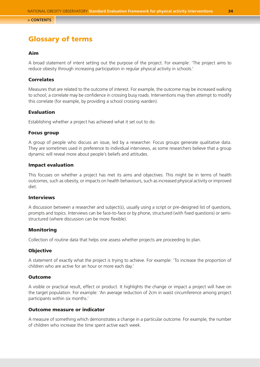## <span id="page-33-0"></span>Glossary of terms

### Aim

A broad statement of intent setting out the purpose of the project. For example: 'The project aims to reduce obesity through increasing participation in regular physical activity in schools.'

### Correlates

Measures that are related to the outcome of interest. For example, the outcome may be increased walking to school; a correlate may be confidence in crossing busy roads. Interventions may then attempt to modify this correlate (for example, by providing a school crossing warden).

### Evaluation

Establishing whether a project has achieved what it set out to do.

### Focus group

A group of people who discuss an issue, led by a researcher. Focus groups generate qualitative data. They are sometimes used in preference to individual interviews, as some researchers believe that a group dynamic will reveal more about people's beliefs and attitudes.

### Impact evaluation

This focuses on whether a project has met its aims and objectives. This might be in terms of health outcomes, such as obesity, or impacts on health behaviours, such as increased physical activity or improved diet.

### Interviews

A discussion between a researcher and subject(s), usually using a script or pre-designed list of questions, prompts and topics. Interviews can be face-to-face or by phone, structured (with fixed questions) or semistructured (where discussion can be more flexible).

### **Monitoring**

Collection of routine data that helps one assess whether projects are proceeding to plan.

### **Objective**

A statement of exactly what the project is trying to achieve. For example: 'To increase the proportion of children who are active for an hour or more each day.'

### **Outcome**

A visible or practical result, effect or product. It highlights the change or impact a project will have on the target population. For example: 'An average reduction of 2cm in waist circumference among project participants within six months.'

### Outcome measure or indicator

A measure of something which demonstrates a change in a particular outcome. For example, the number of children who increase the time spent active each week.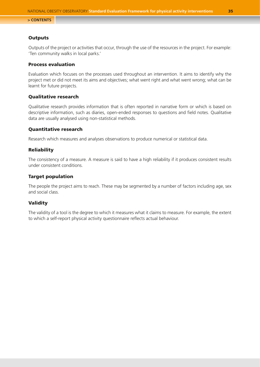### **Outputs**

Outputs of the project or activities that occur, through the use of the resources in the project. For example: 'Ten community walks in local parks.'

### Process evaluation

Evaluation which focuses on the processes used throughout an intervention. It aims to identify why the project met or did not meet its aims and objectives; what went right and what went wrong; what can be learnt for future projects.

### Qualitative research

Qualitative research provides information that is often reported in narrative form or which is based on descriptive information, such as diaries, open-ended responses to questions and field notes. Qualitative data are usually analysed using non-statistical methods.

### Quantitative research

Research which measures and analyses observations to produce numerical or statistical data.

### **Reliability**

The consistency of a measure. A measure is said to have a high reliability if it produces consistent results under consistent conditions.

### Target population

The people the project aims to reach. These may be segmented by a number of factors including age, sex and social class.

### Validity

The validity of a tool is the degree to which it measures what it claims to measure. For example, the extent to which a self-report physical activity questionnaire reflects actual behaviour.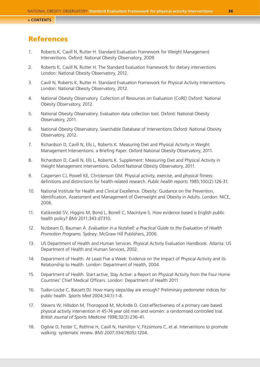## <span id="page-35-0"></span>References

- 1. Roberts K, Cavill N, Rutter H. Standard Evaluation Framework for Weight Management Interventions. Oxford: National Obesity Observatory, 2009.
- 2. Roberts K, Cavill N, Rutter H. The Standard Evaluation Framework for dietary interventions London: National Obesity Observatory, 2012.
- 3. Cavill N, Roberts K, Rutter H. Standard Evaluation Framework for Physical Activity Interventions. London: National Obesity Observatory, 2012.
- 4. National Obesity Observatory. Collection of Resources on Evaluation (CoRE) Oxford: National Obesity Observatory, 2012.
- 5. National Obesity Observatory. Evaluation data collection tool. Oxford: National Obesity Observatory, 2011.
- 6. National Obesity Observatory. Searchable Database of Interventions Oxford: National Obesity Observatory, 2012.
- 7. Richardson D, Cavill N, Ells L, Roberts K. Measuring Diet and Physical Activity in Weight Management Interventions: a Briefing Paper. Oxford National Obesity Observatory, 2011.
- 8. Richardson D, Cavill N, Ells L, Roberts K. Supplement: Measuring Diet and Physical Activity in Weight Management Interventions. Oxford National Obesity Observatory, 2011.
- 9. Caspersen CJ, Powell KE, Christenson GM. Physical activity, exercise, and physical fitness: definitions and distinctions for health-related research. *Public health reports* 1985;100(2):126-31.
- 10. National Institute for Health and Clinical Excellence. Obesity: Guidance on the Prevention, Identification, Assessment and Management of Overweight and Obesity in Adults. London: NICE, 2006.
- 11. Katikireddi SV, Higgins M, Bond L, Bonell C, Macintyre S. How evidence based is English public health policy? *BMJ* 2011;343:d7310.
- 12. Nutbeam D, Bauman A. *Evaluation in a Nutshell: a Practical Guide to the Evaluation of Health Promotion Programs*. Sydney: McGraw Hill Publishers, 2006.
- 13. US Department of Health and Human Services. Physical Activity Evaluation Handbook. Atlanta: US Department of Health and Human Services, 2002.
- 14. Department of Health. At Least Five a Week: Evidence on the Impact of Physical Activity and its Relationship to Health. London: Department of Health, 2004.
- 15. Department of Health. Start active, Stay Active: a Report on Physical Activity from the Four Home Countries' Chief Medical Officers. London: Department of Health 2011.
- 16. Tudor-Locke C, Bassett DJ. How many steps/day are enough? Preliminary pedometer indices for public health. *Sports Med* 2004;34(1):1-8.
- 17. Stevens W, Hillsdon M, Thorogood M, McArdle D. Cost-effectiveness of a primary care based physical activity intervention in 45-74 year old men and women: a randomised controlled trial. *British Journal of Sports Medicine* 1998;32(3):236-41.
- 18. Ogilvie D, Foster C, Rothnie H, Cavill N, Hamilton V, Fitzsimons C, et al. Interventions to promote walking: systematic review. *BMJ* 2007;334(7605):1204.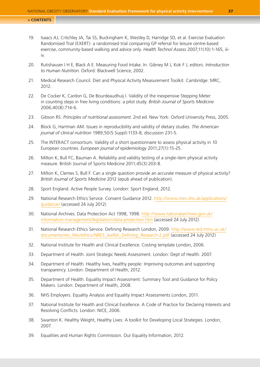- 19. Isaacs AJ, Critchley JA, Tai SS, Buckingham K, Westley D, Harridge SD, et al. Exercise Evaluation Randomised Trial (EXERT): a randomised trial comparing GP referral for leisure centre-based exercise, community-based walking and advice only. *Health Technol Assess* 2007;11(10):1-165, iiiiv.
- 20. Rutishauser I H E, Black A E. Measuring Food Intake. In: Gibney M J, Kok F J, editors. *Introduction to Human Nutrition*. Oxford: Blackwell Science, 2002.
- 21. Medical Research Council. Diet and Physical Activity Measurement Toolkit. Cambridge: MRC, 2012.
- 22. De Cocker K, Cardon G, De Bourdeaudhuij I. Validity of the inexpensive Stepping Meter in counting steps in free living conditions: a pilot study. *British Journal of Sports Medicine* 2006;40(8):714-6.
- 23. Gibson RS. *Principles of nutritional assessment*. 2nd ed. New York: Oxford University Press, 2005.
- 24. Block G, Hartman AM. Issues in reproducibility and validity of dietary studies. *The American journal of clinical nutrition* 1989;50(5 Suppl):1133-8; discussion 231-5.
- 25. The INTERACT consortium. Validity of a short questionnaire to assess physical activity in 10 European countries. *European journal of epidemiology* 2011;27(1):15-25.
- 26. Milton K, Bull FC, Bauman A. Reliability and validity testing of a single-item physical activity measure. British Journal of Sports Medicine 2011;45(3):203-8.
- 27. Milton K, Clemes S, Bull F. Can a single question provide an accurate measure of physical activity? *British Journal of Sports Medicine* 2012 (epub ahead of publication).
- 28. Sport England. Active People Survey. London: Sport England, 2012.
- 29. National Research Ethics Service. Consent Guidance 2012. [http://www.nres.nhs.uk/applications/](http://www.nres.nhs.uk/applications/guidance) [guidance/](http://www.nres.nhs.uk/applications/guidance) (accessed 24 July 2012)
- 30. National Archives. Data Protection Act 1998, 1998. [http://www.nationalarchives.gov.uk/](http://www.nationalarchives.gov.uk/information-management/legislation/data-protection.htm) [information-management/legislation/data-protection.htm](http://www.nationalarchives.gov.uk/information-management/legislation/data-protection.htm) (accessed 24 July 2012)
- 31. National Research Ethics Service. Defining Research London, 2009. [http://www.red.mmu.ac.uk/](http://www.red.mmu.ac.uk/documents/res_files/ethics/NRES_leaflet_Defining_Research-2.pdf) [documents/res\\_files/ethics/NRES\\_leaflet\\_Defining\\_Research-2.pdf](http://www.red.mmu.ac.uk/documents/res_files/ethics/NRES_leaflet_Defining_Research-2.pdf) (accessed 24 July 2012)
- 32. National Institute for Health and Clinical Excellence. Costing template London, 2006.
- 33. Department of Health. Joint Strategic Needs Assessment. London: Dept of Health. 2007.
- 34. Department of Health. Healthy lives, healthy people: Improving outcomes and supporting transparency. London: Department of Health, 2012.
- 35. Department of Health. Equality Impact Assessment: Summary Tool and Guidance for Policy Makers. London: Department of Health, 2008.
- 36. NHS Employers. Equality Analysis and Equality Impact Assessments London, 2011.
- 37. National Institute for Health and Clinical Excellence. A Code of Practice for Declaring Interests and Resolving Conflicts. London: NICE, 2006.
- 38. Swanton K. Healthy Weight, Healthy Lives: A toolkit for Developing Local Strategies. London, 2007.
- 39. Equalities and Human Rights Commission. Our Equality Information, 2012.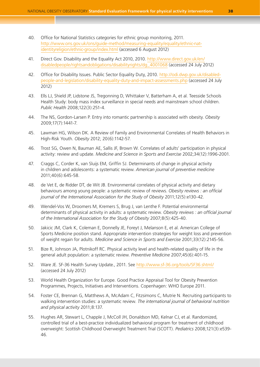- 40. Office for National Statistics categories for ethnic group monitoring, 2011. [http://www.ons.gov.uk/ons/guide-method/measuring-equality/equality/ethnic-nat](http://www.ons.gov.uk/ons/guide-method/measuring-equality/equality/ethnic-nat-identityreligion/ethnic-group/index.html)[identityreligion/ethnic-group/index.html](http://www.ons.gov.uk/ons/guide-method/measuring-equality/equality/ethnic-nat-identityreligion/ethnic-group/index.html) (accessed 6 August 2012)
- 41. Direct Gov. Disability and the Equality Act 2010, 2010. [http://www.direct.gov.uk/en/](http://www.direct.gov.uk/en/disabledpeople/rightsandobligations/disabilityrights/dg_4001068) [disabledpeople/rightsandobligations/disabilityrights/dg\\_4001068](http://www.direct.gov.uk/en/disabledpeople/rightsandobligations/disabilityrights/dg_4001068) (accessed 24 July 2012)
- 42. Office for Disability Issues. Public Sector Equality Duty, 2010. [http://odi.dwp.gov.uk/disabled](http://odi.dwp.gov.uk/disabled-people-and-legislation/disability-equality-duty-and-impact-assessments.php)[people-and-legislation/disability-equality-duty-and-impact-assessments.php](http://odi.dwp.gov.uk/disabled-people-and-legislation/disability-equality-duty-and-impact-assessments.php) (accessed 24 July 2012)
- 43. Ells LJ, Shield JP, Lidstone JS, Tregonning D, Whittaker V, Batterham A, et al. Teesside Schools Health Study: body mass index surveillance in special needs and mainstream school children. *Public Health* 2008;122(3):251-4.
- 44. The NS, Gordon-Larsen P. Entry into romantic partnership is associated with obesity. *Obesity* 2009;17(7):1441-7.
- 45. Lawman HG, Wilson DK. A Review of Family and Environmental Correlates of Health Behaviors in High-Risk Youth. *Obesity* 2012; 20(6):1142-57.
- 46. Trost SG, Owen N, Bauman AE, Sallis JF, Brown W. Correlates of adults' participation in physical activity: review and update. *Medicine and Science in Sports and Exercise* 2002;34(12):1996-2001.
- 47. Craggs C, Corder K, van Sluijs EM, Griffin SJ. Determinants of change in physical activity in children and adolescents: a systematic review. *American journal of preventive medicine* 2011;40(6):645-58.
- 48. de Vet E, de Ridder DT, de Wit JB. Environmental correlates of physical activity and dietary behaviours among young people: a systematic review of reviews. *Obesity reviews : an official journal of the International Association for the Study of Obesity* 2011;12(5):e130-42.
- 49. Wendel-Vos W, Droomers M, Kremers S, Brug J, van Lenthe F. Potential environmental determinants of physical activity in adults: a systematic review. *Obesity reviews : an official journal of the International Association for the Study of Obesity* 2007;8(5):425-40.
- 50. Jakicic JM, Clark K, Coleman E, Donnelly JE, Foreyt J, Melanson E, et al. American College of Sports Medicine position stand. Appropriate intervention strategies for weight loss and prevention of weight regain for adults. *Medicine and Science in Sports and Exercise* 2001;33(12):2145-56.
- 51. Bize R, Johnson JA, Plotnikoff RC. Physical activity level and health-related quality of life in the general adult population: a systematic review. *Preventive Medicine* 2007;45(6):401-15.
- 52. Ware JE. SF-36 Health Survey Update., 2011. See<http://www.sf-36.org/tools/SF36.shtml/> (accessed 24 July 2012)
- 53. World Health Organization for Europe. Good Practice Appraisal Tool for Obesity Prevention Programmes, Projects, Initiatives and Interventions. Copenhagen: WHO Europe 2011.
- 54. Foster CE, Brennan G, Matthews A, McAdam C, Fitzsimons C, Mutrie N. Recruiting participants to walking intervention studies: a systematic review. *The international journal of behavioral nutrition and physical activity* 2011;8:137.
- 55. Hughes AR, Stewart L, Chapple J, McColl JH, Donaldson MD, Kelnar CJ, et al. Randomized, controlled trial of a best-practice individualized behavioral program for treatment of childhood overweight: Scottish Childhood Overweight Treatment Trial (SCOTT). *Pediatrics* 2008;121(3):e539- 46.